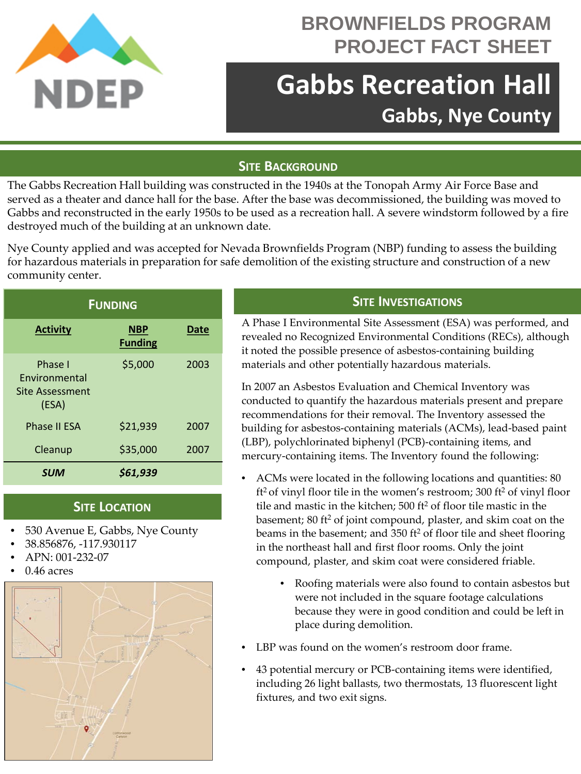

# **BROWNFIELDS PROGRAM PROJECT FACT SHEET**

# **Gabbs Recreation Hall Gabbs, Nye County**

# **SITE BACKGROUND**

The Gabbs Recreation Hall building was constructed in the 1940s at the Tonopah Army Air Force Base and served as a theater and dance hall for the base. After the base was decommissioned, the building was moved to Gabbs and reconstructed in the early 1950s to be used as a recreation hall. A severe windstorm followed by a fire destroyed much of the building at an unknown date.

Nye County applied and was accepted for Nevada Brownfields Program (NBP) funding to assess the building for hazardous materials in preparation for safe demolition of the existing structure and construction of a new community center.

| <b>FUNDING</b>                                                     |                              |             |
|--------------------------------------------------------------------|------------------------------|-------------|
| <b>Activity</b>                                                    | <b>NBP</b><br><b>Funding</b> | <b>Date</b> |
| Phase I<br><b>Fnvironmental</b><br><b>Site Assessment</b><br>(ESA) | \$5,000                      | 2003        |
| Phase II ESA                                                       | \$21,939                     | 2007        |
| Cleanup                                                            | \$35,000                     | 2007        |
| <b>SUM</b>                                                         | \$61,939                     |             |

#### **SITE LOCATION**

- 530 Avenue E, Gabbs, Nye County
- 38.856876, -117.930117
- APN: 001-232-07
- $0.46$  acres



# **SITE INVESTIGATIONS**

A Phase I Environmental Site Assessment (ESA) was performed, and revealed no Recognized Environmental Conditions (RECs), although it noted the possible presence of asbestos-containing building materials and other potentially hazardous materials.

In 2007 an Asbestos Evaluation and Chemical Inventory was conducted to quantify the hazardous materials present and prepare recommendations for their removal. The Inventory assessed the building for asbestos-containing materials (ACMs), lead-based paint (LBP), polychlorinated biphenyl (PCB)-containing items, and mercury-containing items. The Inventory found the following:

- ACMs were located in the following locations and quantities: 80 ft2 of vinyl floor tile in the women's restroom; 300 ft2 of vinyl floor tile and mastic in the kitchen; 500 ft<sup>2</sup> of floor tile mastic in the basement; 80 ft<sup>2</sup> of joint compound, plaster, and skim coat on the beams in the basement; and 350 ft<sup>2</sup> of floor tile and sheet flooring in the northeast hall and first floor rooms. Only the joint compound, plaster, and skim coat were considered friable.
	- Roofing materials were also found to contain asbestos but were not included in the square footage calculations because they were in good condition and could be left in place during demolition.
- LBP was found on the women's restroom door frame.
- 43 potential mercury or PCB-containing items were identified, including 26 light ballasts, two thermostats, 13 fluorescent light fixtures, and two exit signs.